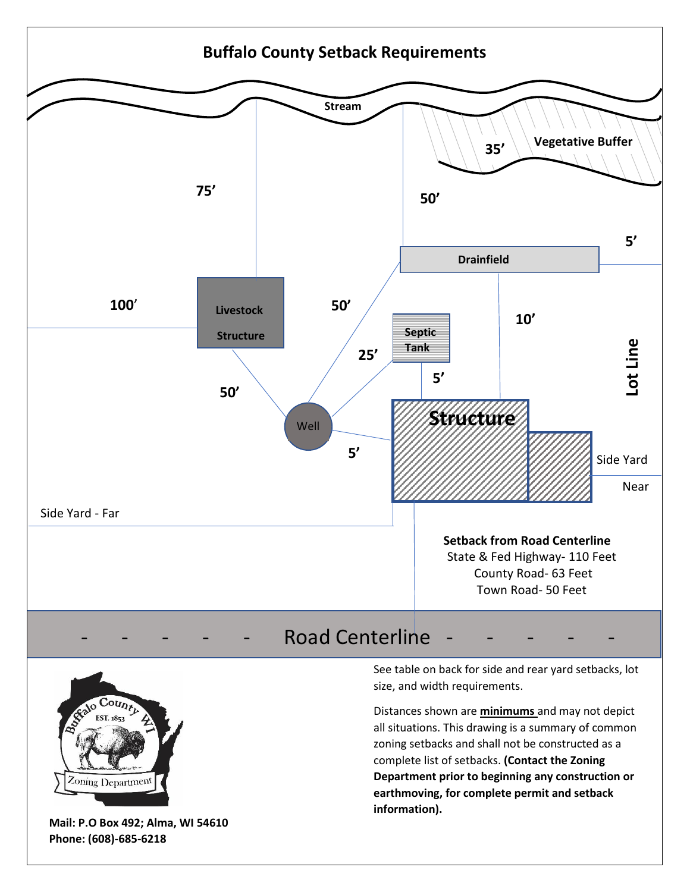



**Mail: P.O Box 492; Alma, WI 54610 Phone: (608)-685-6218**

See table on back for side and rear yard setbacks, lot size, and width requirements.

Distances shown are **minimums** and may not depict all situations. This drawing is a summary of common zoning setbacks and shall not be constructed as a complete list of setbacks. **(Contact the Zoning Department prior to beginning any construction or earthmoving, for complete permit and setback information).**